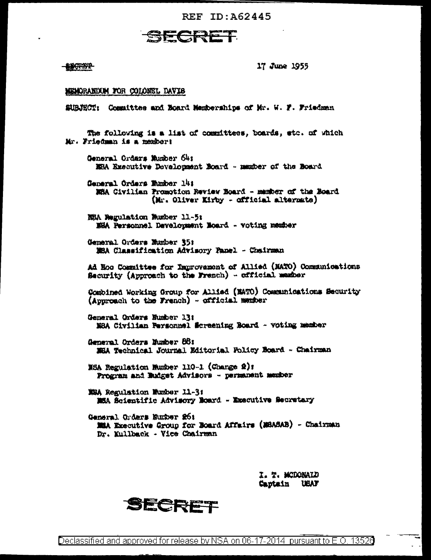REF ID: A62445



**BIOREY 2** 

17 June 1955

## MEMORANDOM FOR COLONEL DAVIS

SUBJECT: Committee and Eoard Memberships of Mr. W. F. Friedman

The following is a list of committees, boards, etc. of which Mr. Friedman is a members General Orders Musher 64: MEA Executive Develousent Board - manber of the Board General Ordars Eumber 14: WHA Civilian Promotion Review Board - member of the Board (Mr. Oliver Kirby - official alternate) NSA Negulation Number 11-5: NHA Personnel Davelopment Noard - voting member General Orders Number 35: MEA Classification Advisory Panel - Chairman Ad Hoo Committee for Improvement of Allied (NATO) Communications Security (Approach to the French) - official member Combined Working Group for Allied (MATO) Communications Security (Approach to the French) - official member General Orders Number 13: NSA Civilian Personnel Screening Roard - voting member General Orders Humber 88: MEA Technical Journal Editorial Policy Board - Chairman NSA Regulation Wumber 110-1 (Change 2): Program and Eudget Advisors - permanent member MBA Regulation Mumber 11-3: MEA Scientific Advisory Roard - Executive Secretary General Orders Number 26: MiA Executive Group for Board Affairs (MSASAB) - Chairman Dr. Kullback - Vice Chairman

> I. T. MCDONAID Captain USAF



Declassified and approved for release by NSA on 06-17-2014 pursuant to E.O. 13526